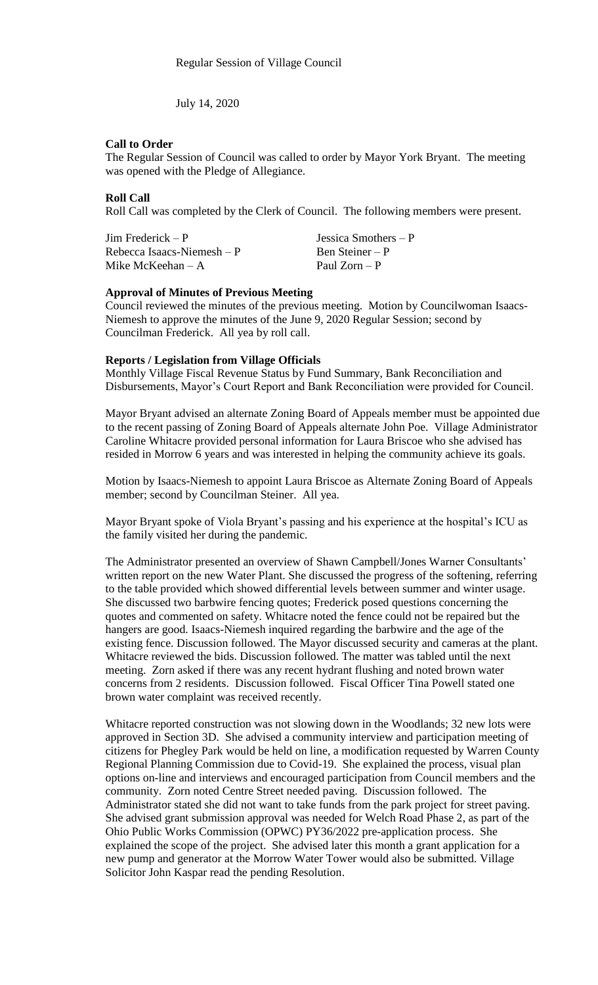July 14, 2020

# **Call to Order**

The Regular Session of Council was called to order by Mayor York Bryant. The meeting was opened with the Pledge of Allegiance.

## **Roll Call**

Roll Call was completed by the Clerk of Council. The following members were present.

Jim Frederick – P Jessica Smothers – P  $Rebecca Isaacs-Niemesh - P$  Ben Steiner – P<br>Mike McKeehan – A Paul Zorn – P Mike McKeehan –  $A$ 

## **Approval of Minutes of Previous Meeting**

Council reviewed the minutes of the previous meeting. Motion by Councilwoman Isaacs-Niemesh to approve the minutes of the June 9, 2020 Regular Session; second by Councilman Frederick. All yea by roll call.

# **Reports / Legislation from Village Officials**

Monthly Village Fiscal Revenue Status by Fund Summary, Bank Reconciliation and Disbursements, Mayor's Court Report and Bank Reconciliation were provided for Council.

Mayor Bryant advised an alternate Zoning Board of Appeals member must be appointed due to the recent passing of Zoning Board of Appeals alternate John Poe. Village Administrator Caroline Whitacre provided personal information for Laura Briscoe who she advised has resided in Morrow 6 years and was interested in helping the community achieve its goals.

Motion by Isaacs-Niemesh to appoint Laura Briscoe as Alternate Zoning Board of Appeals member; second by Councilman Steiner. All yea.

Mayor Bryant spoke of Viola Bryant's passing and his experience at the hospital's ICU as the family visited her during the pandemic.

The Administrator presented an overview of Shawn Campbell/Jones Warner Consultants' written report on the new Water Plant. She discussed the progress of the softening, referring to the table provided which showed differential levels between summer and winter usage. She discussed two barbwire fencing quotes; Frederick posed questions concerning the quotes and commented on safety. Whitacre noted the fence could not be repaired but the hangers are good. Isaacs-Niemesh inquired regarding the barbwire and the age of the existing fence. Discussion followed. The Mayor discussed security and cameras at the plant. Whitacre reviewed the bids. Discussion followed. The matter was tabled until the next meeting. Zorn asked if there was any recent hydrant flushing and noted brown water concerns from 2 residents. Discussion followed. Fiscal Officer Tina Powell stated one brown water complaint was received recently.

Whitacre reported construction was not slowing down in the Woodlands; 32 new lots were approved in Section 3D. She advised a community interview and participation meeting of citizens for Phegley Park would be held on line, a modification requested by Warren County Regional Planning Commission due to Covid-19. She explained the process, visual plan options on-line and interviews and encouraged participation from Council members and the community. Zorn noted Centre Street needed paving. Discussion followed. The Administrator stated she did not want to take funds from the park project for street paving. She advised grant submission approval was needed for Welch Road Phase 2, as part of the Ohio Public Works Commission (OPWC) PY36/2022 pre-application process. She explained the scope of the project. She advised later this month a grant application for a new pump and generator at the Morrow Water Tower would also be submitted. Village Solicitor John Kaspar read the pending Resolution.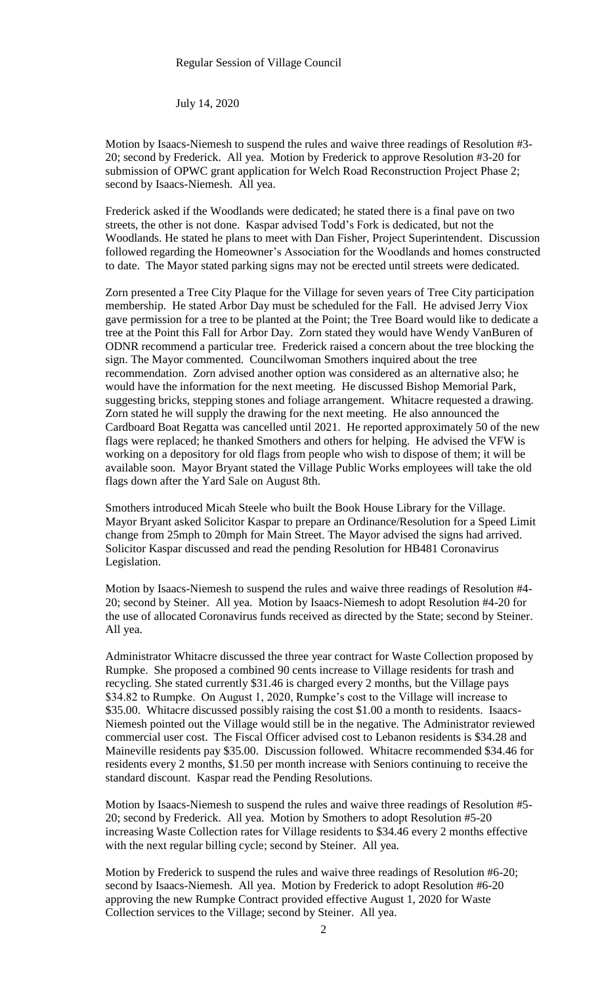July 14, 2020

Motion by Isaacs-Niemesh to suspend the rules and waive three readings of Resolution #3- 20; second by Frederick. All yea. Motion by Frederick to approve Resolution #3-20 for submission of OPWC grant application for Welch Road Reconstruction Project Phase 2; second by Isaacs-Niemesh. All yea.

Frederick asked if the Woodlands were dedicated; he stated there is a final pave on two streets, the other is not done. Kaspar advised Todd's Fork is dedicated, but not the Woodlands. He stated he plans to meet with Dan Fisher, Project Superintendent. Discussion followed regarding the Homeowner's Association for the Woodlands and homes constructed to date. The Mayor stated parking signs may not be erected until streets were dedicated.

Zorn presented a Tree City Plaque for the Village for seven years of Tree City participation membership. He stated Arbor Day must be scheduled for the Fall. He advised Jerry Viox gave permission for a tree to be planted at the Point; the Tree Board would like to dedicate a tree at the Point this Fall for Arbor Day. Zorn stated they would have Wendy VanBuren of ODNR recommend a particular tree. Frederick raised a concern about the tree blocking the sign. The Mayor commented. Councilwoman Smothers inquired about the tree recommendation. Zorn advised another option was considered as an alternative also; he would have the information for the next meeting. He discussed Bishop Memorial Park, suggesting bricks, stepping stones and foliage arrangement. Whitacre requested a drawing. Zorn stated he will supply the drawing for the next meeting. He also announced the Cardboard Boat Regatta was cancelled until 2021. He reported approximately 50 of the new flags were replaced; he thanked Smothers and others for helping. He advised the VFW is working on a depository for old flags from people who wish to dispose of them; it will be available soon. Mayor Bryant stated the Village Public Works employees will take the old flags down after the Yard Sale on August 8th.

Smothers introduced Micah Steele who built the Book House Library for the Village. Mayor Bryant asked Solicitor Kaspar to prepare an Ordinance/Resolution for a Speed Limit change from 25mph to 20mph for Main Street. The Mayor advised the signs had arrived. Solicitor Kaspar discussed and read the pending Resolution for HB481 Coronavirus Legislation.

Motion by Isaacs-Niemesh to suspend the rules and waive three readings of Resolution #4- 20; second by Steiner. All yea. Motion by Isaacs-Niemesh to adopt Resolution #4-20 for the use of allocated Coronavirus funds received as directed by the State; second by Steiner. All yea.

Administrator Whitacre discussed the three year contract for Waste Collection proposed by Rumpke. She proposed a combined 90 cents increase to Village residents for trash and recycling. She stated currently \$31.46 is charged every 2 months, but the Village pays \$34.82 to Rumpke. On August 1, 2020, Rumpke's cost to the Village will increase to \$35.00. Whitacre discussed possibly raising the cost \$1.00 a month to residents. Isaacs-Niemesh pointed out the Village would still be in the negative. The Administrator reviewed commercial user cost. The Fiscal Officer advised cost to Lebanon residents is \$34.28 and Maineville residents pay \$35.00. Discussion followed. Whitacre recommended \$34.46 for residents every 2 months, \$1.50 per month increase with Seniors continuing to receive the standard discount. Kaspar read the Pending Resolutions.

Motion by Isaacs-Niemesh to suspend the rules and waive three readings of Resolution #5- 20; second by Frederick. All yea. Motion by Smothers to adopt Resolution #5-20 increasing Waste Collection rates for Village residents to \$34.46 every 2 months effective with the next regular billing cycle; second by Steiner. All yea.

Motion by Frederick to suspend the rules and waive three readings of Resolution #6-20; second by Isaacs-Niemesh. All yea. Motion by Frederick to adopt Resolution #6-20 approving the new Rumpke Contract provided effective August 1, 2020 for Waste Collection services to the Village; second by Steiner. All yea.